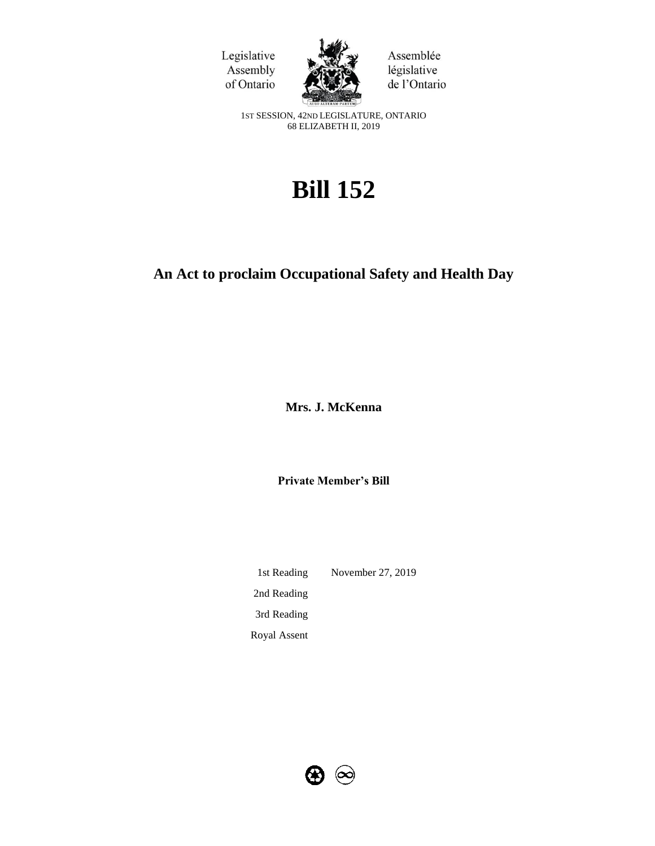



Assemblée législative de l'Ontario

1ST SESSION, 42ND LEGISLATURE, ONTARIO 68 ELIZABETH II, 2019

# **Bill 152**

## **An Act to proclaim Occupational Safety and Health Day**

**Mrs. J. McKenna**

**Private Member's Bill**

1st Reading November 27, 2019 2nd Reading 3rd Reading Royal Assent